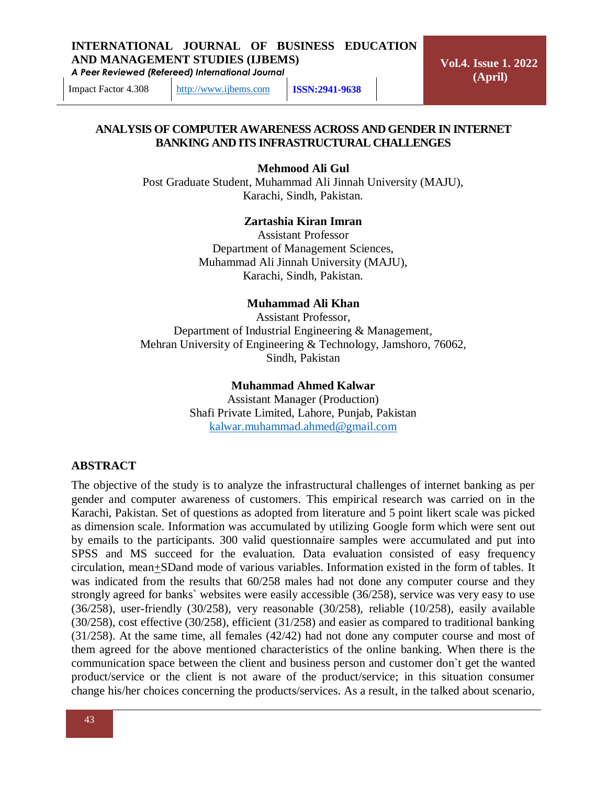*A Peer Reviewed (Refereed) International Journal*

**Vol.4. Issue 1. 2022 (April)**

Impact Factor 4.308 [http://www.ijbems.com](http://www.ijbems.com/) **ISSN:2941-9638**

#### **ANALYSIS OF COMPUTER AWARENESS ACROSS AND GENDER IN INTERNET BANKING AND ITS INFRASTRUCTURAL CHALLENGES**

**Mehmood Ali Gul**

Post Graduate Student, Muhammad Ali Jinnah University (MAJU), Karachi, Sindh, Pakistan.

#### **Zartashia Kiran Imran**

Assistant Professor Department of Management Sciences, Muhammad Ali Jinnah University (MAJU), Karachi, Sindh, Pakistan.

#### **Muhammad Ali Khan**

Assistant Professor, Department of Industrial Engineering & Management, Mehran University of Engineering & Technology, Jamshoro, 76062, Sindh, Pakistan

#### **Muhammad Ahmed Kalwar**

Assistant Manager (Production) Shafi Private Limited, Lahore, Punjab, Pakistan [kalwar.muhammad.ahmed@gmail.com](mailto:kalwar.muhammad.ahmed@gmail.com)

#### **ABSTRACT**

The objective of the study is to analyze the infrastructural challenges of internet banking as per gender and computer awareness of customers. This empirical research was carried on in the Karachi, Pakistan. Set of questions as adopted from literature and 5 point likert scale was picked as dimension scale. Information was accumulated by utilizing Google form which were sent out by emails to the participants. 300 valid questionnaire samples were accumulated and put into SPSS and MS succeed for the evaluation. Data evaluation consisted of easy frequency circulation, mean+SDand mode of various variables. Information existed in the form of tables. It was indicated from the results that 60/258 males had not done any computer course and they strongly agreed for banks` websites were easily accessible (36/258), service was very easy to use (36/258), user-friendly (30/258), very reasonable (30/258), reliable (10/258), easily available (30/258), cost effective (30/258), efficient (31/258) and easier as compared to traditional banking (31/258). At the same time, all females (42/42) had not done any computer course and most of them agreed for the above mentioned characteristics of the online banking. When there is the communication space between the client and business person and customer don`t get the wanted product/service or the client is not aware of the product/service; in this situation consumer change his/her choices concerning the products/services. As a result, in the talked about scenario,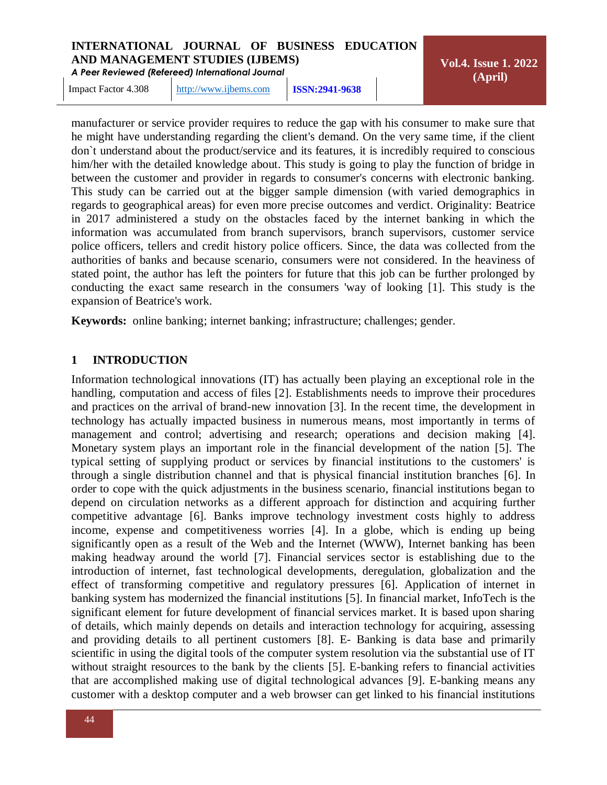*A Peer Reviewed (Refereed) International Journal*

Impact Factor 4.308 [http://www.ijbems.com](http://www.ijbems.com/) **ISSN:2941-9638**

**Vol.4. Issue 1. 2022 (April)**

manufacturer or service provider requires to reduce the gap with his consumer to make sure that he might have understanding regarding the client's demand. On the very same time, if the client don`t understand about the product/service and its features, it is incredibly required to conscious him/her with the detailed knowledge about. This study is going to play the function of bridge in between the customer and provider in regards to consumer's concerns with electronic banking. This study can be carried out at the bigger sample dimension (with varied demographics in regards to geographical areas) for even more precise outcomes and verdict. Originality: Beatrice in 2017 administered a study on the obstacles faced by the internet banking in which the information was accumulated from branch supervisors, branch supervisors, customer service police officers, tellers and credit history police officers. Since, the data was collected from the authorities of banks and because scenario, consumers were not considered. In the heaviness of stated point, the author has left the pointers for future that this job can be further prolonged by conducting the exact same research in the consumers 'way of looking [1]. This study is the expansion of Beatrice's work.

**Keywords:** online banking; internet banking; infrastructure; challenges; gender.

#### **1 INTRODUCTION**

Information technological innovations (IT) has actually been playing an exceptional role in the handling, computation and access of files [2]. Establishments needs to improve their procedures and practices on the arrival of brand-new innovation [3]. In the recent time, the development in technology has actually impacted business in numerous means, most importantly in terms of management and control; advertising and research; operations and decision making [4]. Monetary system plays an important role in the financial development of the nation [5]. The typical setting of supplying product or services by financial institutions to the customers' is through a single distribution channel and that is physical financial institution branches [6]. In order to cope with the quick adjustments in the business scenario, financial institutions began to depend on circulation networks as a different approach for distinction and acquiring further competitive advantage [6]. Banks improve technology investment costs highly to address income, expense and competitiveness worries [4]. In a globe, which is ending up being significantly open as a result of the Web and the Internet (WWW), Internet banking has been making headway around the world [7]. Financial services sector is establishing due to the introduction of internet, fast technological developments, deregulation, globalization and the effect of transforming competitive and regulatory pressures [6]. Application of internet in banking system has modernized the financial institutions [5]. In financial market, InfoTech is the significant element for future development of financial services market. It is based upon sharing of details, which mainly depends on details and interaction technology for acquiring, assessing and providing details to all pertinent customers [8]. E- Banking is data base and primarily scientific in using the digital tools of the computer system resolution via the substantial use of IT without straight resources to the bank by the clients [5]. E-banking refers to financial activities that are accomplished making use of digital technological advances [9]. E-banking means any customer with a desktop computer and a web browser can get linked to his financial institutions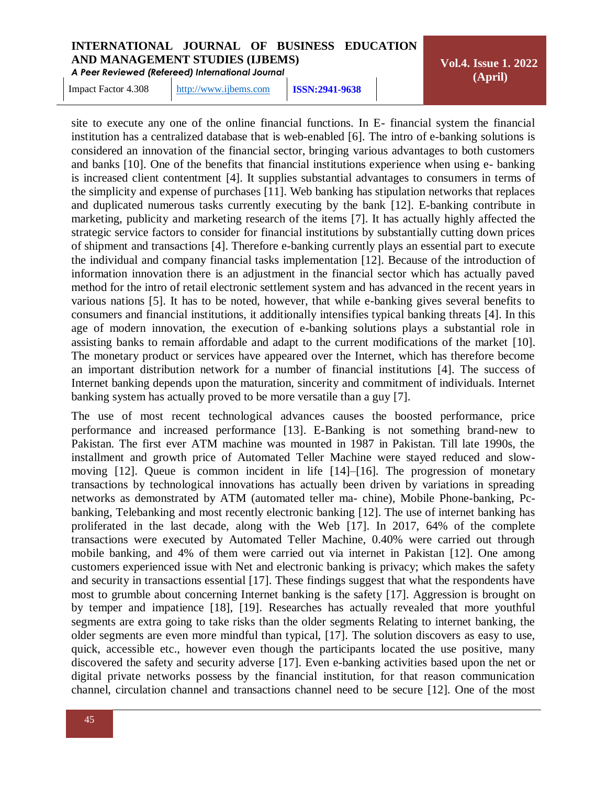*A Peer Reviewed (Refereed) International Journal*

Impact Factor 4.308 [http://www.ijbems.com](http://www.ijbems.com/) **ISSN:2941-9638**

**Vol.4. Issue 1. 2022 (April)**

site to execute any one of the online financial functions. In E- financial system the financial institution has a centralized database that is web-enabled [6]. The intro of e-banking solutions is considered an innovation of the financial sector, bringing various advantages to both customers and banks [10]. One of the benefits that financial institutions experience when using e- banking is increased client contentment [4]. It supplies substantial advantages to consumers in terms of the simplicity and expense of purchases [11]. Web banking has stipulation networks that replaces and duplicated numerous tasks currently executing by the bank [12]. E-banking contribute in marketing, publicity and marketing research of the items [7]. It has actually highly affected the strategic service factors to consider for financial institutions by substantially cutting down prices of shipment and transactions [4]. Therefore e-banking currently plays an essential part to execute the individual and company financial tasks implementation [12]. Because of the introduction of information innovation there is an adjustment in the financial sector which has actually paved method for the intro of retail electronic settlement system and has advanced in the recent years in various nations [5]. It has to be noted, however, that while e-banking gives several benefits to consumers and financial institutions, it additionally intensifies typical banking threats [4]. In this age of modern innovation, the execution of e-banking solutions plays a substantial role in assisting banks to remain affordable and adapt to the current modifications of the market [10]. The monetary product or services have appeared over the Internet, which has therefore become an important distribution network for a number of financial institutions [4]. The success of Internet banking depends upon the maturation, sincerity and commitment of individuals. Internet banking system has actually proved to be more versatile than a guy [7].

The use of most recent technological advances causes the boosted performance, price performance and increased performance [13]. E-Banking is not something brand-new to Pakistan. The first ever ATM machine was mounted in 1987 in Pakistan. Till late 1990s, the installment and growth price of Automated Teller Machine were stayed reduced and slowmoving [12]. Queue is common incident in life [14]–[16]. The progression of monetary transactions by technological innovations has actually been driven by variations in spreading networks as demonstrated by ATM (automated teller ma- chine), Mobile Phone-banking, Pcbanking, Telebanking and most recently electronic banking [12]. The use of internet banking has proliferated in the last decade, along with the Web [17]. In 2017, 64% of the complete transactions were executed by Automated Teller Machine, 0.40% were carried out through mobile banking, and 4% of them were carried out via internet in Pakistan [12]. One among customers experienced issue with Net and electronic banking is privacy; which makes the safety and security in transactions essential [17]. These findings suggest that what the respondents have most to grumble about concerning Internet banking is the safety [17]. Aggression is brought on by temper and impatience [18], [19]. Researches has actually revealed that more youthful segments are extra going to take risks than the older segments Relating to internet banking, the older segments are even more mindful than typical, [17]. The solution discovers as easy to use, quick, accessible etc., however even though the participants located the use positive, many discovered the safety and security adverse [17]. Even e-banking activities based upon the net or digital private networks possess by the financial institution, for that reason communication channel, circulation channel and transactions channel need to be secure [12]. One of the most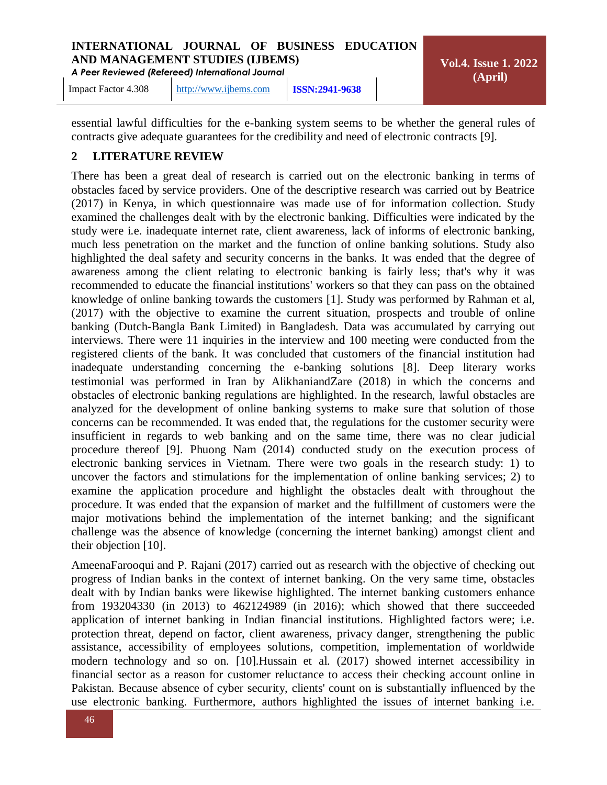*A Peer Reviewed (Refereed) International Journal*

**Vol.4. Issue 1. 2022 (April)**

Impact Factor 4.308 [http://www.ijbems.com](http://www.ijbems.com/) **ISSN:2941-9638**

essential lawful difficulties for the e-banking system seems to be whether the general rules of contracts give adequate guarantees for the credibility and need of electronic contracts [9].

#### **2 LITERATURE REVIEW**

There has been a great deal of research is carried out on the electronic banking in terms of obstacles faced by service providers. One of the descriptive research was carried out by Beatrice (2017) in Kenya, in which questionnaire was made use of for information collection. Study examined the challenges dealt with by the electronic banking. Difficulties were indicated by the study were i.e. inadequate internet rate, client awareness, lack of informs of electronic banking, much less penetration on the market and the function of online banking solutions. Study also highlighted the deal safety and security concerns in the banks. It was ended that the degree of awareness among the client relating to electronic banking is fairly less; that's why it was recommended to educate the financial institutions' workers so that they can pass on the obtained knowledge of online banking towards the customers [1]. Study was performed by Rahman et al, (2017) with the objective to examine the current situation, prospects and trouble of online banking (Dutch-Bangla Bank Limited) in Bangladesh. Data was accumulated by carrying out interviews. There were 11 inquiries in the interview and 100 meeting were conducted from the registered clients of the bank. It was concluded that customers of the financial institution had inadequate understanding concerning the e-banking solutions [8]. Deep literary works testimonial was performed in Iran by AlikhaniandZare (2018) in which the concerns and obstacles of electronic banking regulations are highlighted. In the research, lawful obstacles are analyzed for the development of online banking systems to make sure that solution of those concerns can be recommended. It was ended that, the regulations for the customer security were insufficient in regards to web banking and on the same time, there was no clear judicial procedure thereof [9]. Phuong Nam (2014) conducted study on the execution process of electronic banking services in Vietnam. There were two goals in the research study: 1) to uncover the factors and stimulations for the implementation of online banking services; 2) to examine the application procedure and highlight the obstacles dealt with throughout the procedure. It was ended that the expansion of market and the fulfillment of customers were the major motivations behind the implementation of the internet banking; and the significant challenge was the absence of knowledge (concerning the internet banking) amongst client and their objection [10].

AmeenaFarooqui and P. Rajani (2017) carried out as research with the objective of checking out progress of Indian banks in the context of internet banking. On the very same time, obstacles dealt with by Indian banks were likewise highlighted. The internet banking customers enhance from 193204330 (in 2013) to 462124989 (in 2016); which showed that there succeeded application of internet banking in Indian financial institutions. Highlighted factors were; i.e. protection threat, depend on factor, client awareness, privacy danger, strengthening the public assistance, accessibility of employees solutions, competition, implementation of worldwide modern technology and so on. [10].Hussain et al. (2017) showed internet accessibility in financial sector as a reason for customer reluctance to access their checking account online in Pakistan. Because absence of cyber security, clients' count on is substantially influenced by the use electronic banking. Furthermore, authors highlighted the issues of internet banking i.e.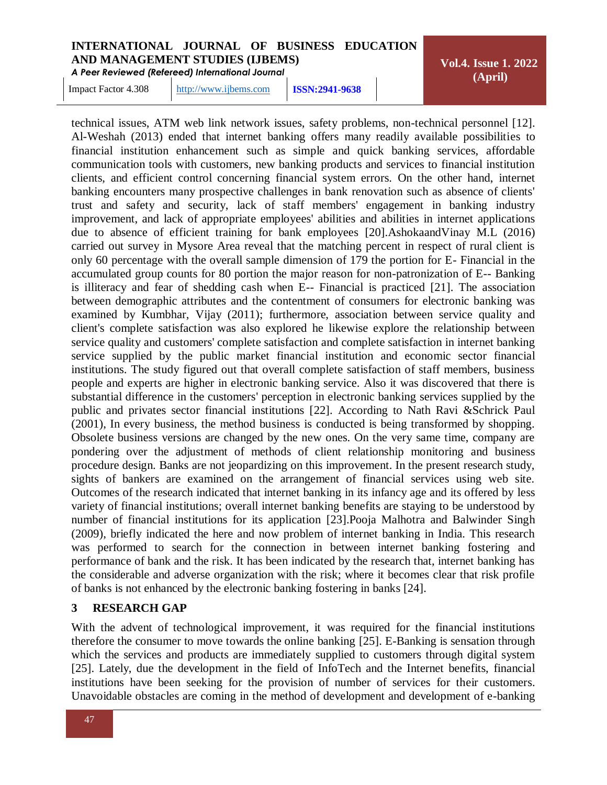*A Peer Reviewed (Refereed) International Journal*

**Vol.4. Issue 1. 2022 (April)**

Impact Factor 4.308 [http://www.ijbems.com](http://www.ijbems.com/) **ISSN:2941-9638**

technical issues, ATM web link network issues, safety problems, non-technical personnel [12]. Al-Weshah (2013) ended that internet banking offers many readily available possibilities to financial institution enhancement such as simple and quick banking services, affordable communication tools with customers, new banking products and services to financial institution clients, and efficient control concerning financial system errors. On the other hand, internet banking encounters many prospective challenges in bank renovation such as absence of clients' trust and safety and security, lack of staff members' engagement in banking industry improvement, and lack of appropriate employees' abilities and abilities in internet applications due to absence of efficient training for bank employees [20].AshokaandVinay M.L (2016) carried out survey in Mysore Area reveal that the matching percent in respect of rural client is only 60 percentage with the overall sample dimension of 179 the portion for E- Financial in the accumulated group counts for 80 portion the major reason for non-patronization of E-- Banking is illiteracy and fear of shedding cash when E-- Financial is practiced [21]. The association between demographic attributes and the contentment of consumers for electronic banking was examined by Kumbhar, Vijay (2011); furthermore, association between service quality and client's complete satisfaction was also explored he likewise explore the relationship between service quality and customers' complete satisfaction and complete satisfaction in internet banking service supplied by the public market financial institution and economic sector financial institutions. The study figured out that overall complete satisfaction of staff members, business people and experts are higher in electronic banking service. Also it was discovered that there is substantial difference in the customers' perception in electronic banking services supplied by the public and privates sector financial institutions [22]. According to Nath Ravi &Schrick Paul (2001), In every business, the method business is conducted is being transformed by shopping. Obsolete business versions are changed by the new ones. On the very same time, company are pondering over the adjustment of methods of client relationship monitoring and business procedure design. Banks are not jeopardizing on this improvement. In the present research study, sights of bankers are examined on the arrangement of financial services using web site. Outcomes of the research indicated that internet banking in its infancy age and its offered by less variety of financial institutions; overall internet banking benefits are staying to be understood by number of financial institutions for its application [23].Pooja Malhotra and Balwinder Singh (2009), briefly indicated the here and now problem of internet banking in India. This research was performed to search for the connection in between internet banking fostering and performance of bank and the risk. It has been indicated by the research that, internet banking has the considerable and adverse organization with the risk; where it becomes clear that risk profile of banks is not enhanced by the electronic banking fostering in banks [24].

#### **3 RESEARCH GAP**

With the advent of technological improvement, it was required for the financial institutions therefore the consumer to move towards the online banking [25]. E-Banking is sensation through which the services and products are immediately supplied to customers through digital system [25]. Lately, due the development in the field of InfoTech and the Internet benefits, financial institutions have been seeking for the provision of number of services for their customers. Unavoidable obstacles are coming in the method of development and development of e-banking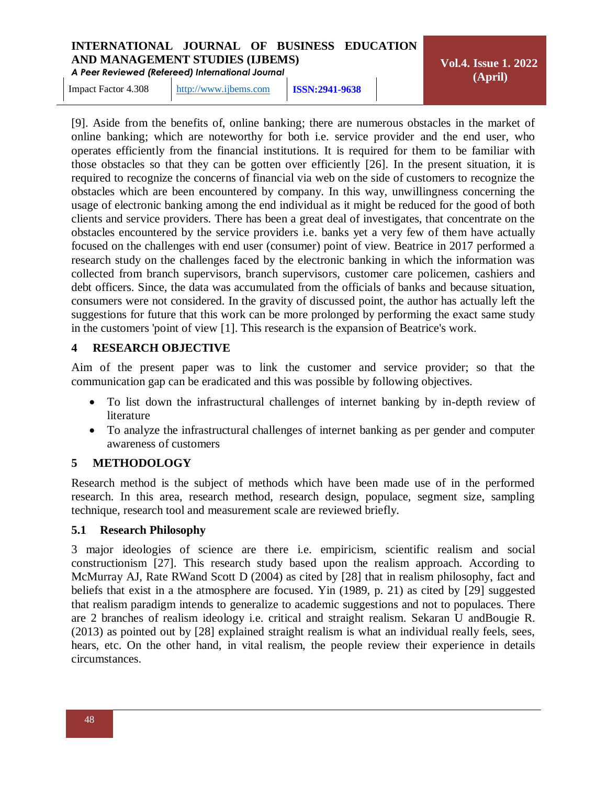*A Peer Reviewed (Refereed) International Journal*

**Vol.4. Issue 1. 2022 (April)**

Impact Factor 4.308 [http://www.ijbems.com](http://www.ijbems.com/) **ISSN:2941-9638**

[9]. Aside from the benefits of, online banking; there are numerous obstacles in the market of online banking; which are noteworthy for both i.e. service provider and the end user, who operates efficiently from the financial institutions. It is required for them to be familiar with those obstacles so that they can be gotten over efficiently [26]. In the present situation, it is required to recognize the concerns of financial via web on the side of customers to recognize the obstacles which are been encountered by company. In this way, unwillingness concerning the usage of electronic banking among the end individual as it might be reduced for the good of both clients and service providers. There has been a great deal of investigates, that concentrate on the obstacles encountered by the service providers i.e. banks yet a very few of them have actually focused on the challenges with end user (consumer) point of view. Beatrice in 2017 performed a research study on the challenges faced by the electronic banking in which the information was collected from branch supervisors, branch supervisors, customer care policemen, cashiers and debt officers. Since, the data was accumulated from the officials of banks and because situation, consumers were not considered. In the gravity of discussed point, the author has actually left the suggestions for future that this work can be more prolonged by performing the exact same study in the customers 'point of view [1]. This research is the expansion of Beatrice's work.

#### **4 RESEARCH OBJECTIVE**

Aim of the present paper was to link the customer and service provider; so that the communication gap can be eradicated and this was possible by following objectives.

- To list down the infrastructural challenges of internet banking by in-depth review of literature
- To analyze the infrastructural challenges of internet banking as per gender and computer awareness of customers

#### **5 METHODOLOGY**

Research method is the subject of methods which have been made use of in the performed research. In this area, research method, research design, populace, segment size, sampling technique, research tool and measurement scale are reviewed briefly.

#### **5.1 Research Philosophy**

3 major ideologies of science are there i.e. empiricism, scientific realism and social constructionism [27]. This research study based upon the realism approach. According to McMurray AJ, Rate RWand Scott D (2004) as cited by [28] that in realism philosophy, fact and beliefs that exist in a the atmosphere are focused. Yin (1989, p. 21) as cited by [29] suggested that realism paradigm intends to generalize to academic suggestions and not to populaces. There are 2 branches of realism ideology i.e. critical and straight realism. Sekaran U andBougie R. (2013) as pointed out by [28] explained straight realism is what an individual really feels, sees, hears, etc. On the other hand, in vital realism, the people review their experience in details circumstances.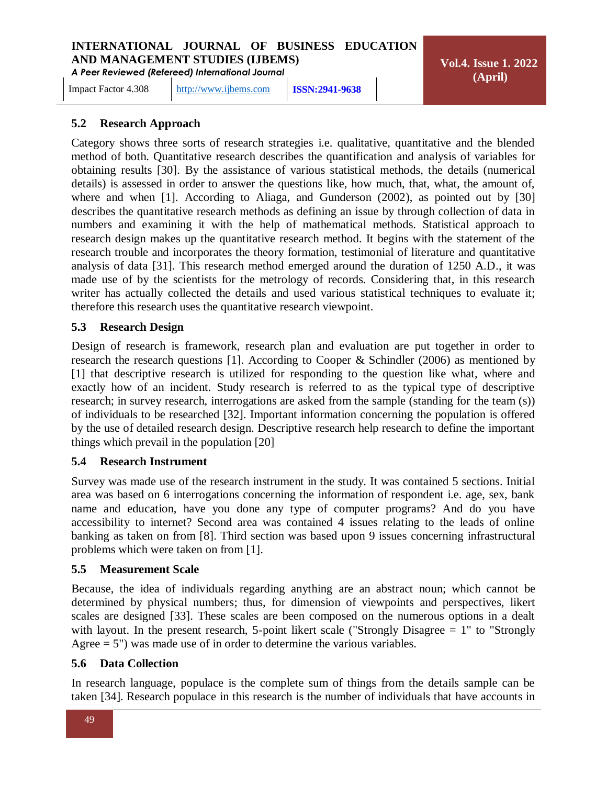*A Peer Reviewed (Refereed) International Journal*

Impact Factor 4.308 [http://www.ijbems.com](http://www.ijbems.com/) **ISSN:2941-9638**

**Vol.4. Issue 1. 2022 (April)**

# **5.2 Research Approach**

Category shows three sorts of research strategies i.e. qualitative, quantitative and the blended method of both. Quantitative research describes the quantification and analysis of variables for obtaining results [30]. By the assistance of various statistical methods, the details (numerical details) is assessed in order to answer the questions like, how much, that, what, the amount of, where and when [1]. According to Aliaga, and Gunderson (2002), as pointed out by [30] describes the quantitative research methods as defining an issue by through collection of data in numbers and examining it with the help of mathematical methods. Statistical approach to research design makes up the quantitative research method. It begins with the statement of the research trouble and incorporates the theory formation, testimonial of literature and quantitative analysis of data [31]. This research method emerged around the duration of 1250 A.D., it was made use of by the scientists for the metrology of records. Considering that, in this research writer has actually collected the details and used various statistical techniques to evaluate it; therefore this research uses the quantitative research viewpoint.

#### **5.3 Research Design**

Design of research is framework, research plan and evaluation are put together in order to research the research questions [1]. According to Cooper & Schindler (2006) as mentioned by [1] that descriptive research is utilized for responding to the question like what, where and exactly how of an incident. Study research is referred to as the typical type of descriptive research; in survey research, interrogations are asked from the sample (standing for the team (s)) of individuals to be researched [32]. Important information concerning the population is offered by the use of detailed research design. Descriptive research help research to define the important things which prevail in the population [20]

#### **5.4 Research Instrument**

Survey was made use of the research instrument in the study. It was contained 5 sections. Initial area was based on 6 interrogations concerning the information of respondent i.e. age, sex, bank name and education, have you done any type of computer programs? And do you have accessibility to internet? Second area was contained 4 issues relating to the leads of online banking as taken on from [8]. Third section was based upon 9 issues concerning infrastructural problems which were taken on from [1].

#### **5.5 Measurement Scale**

Because, the idea of individuals regarding anything are an abstract noun; which cannot be determined by physical numbers; thus, for dimension of viewpoints and perspectives, likert scales are designed [33]. These scales are been composed on the numerous options in a dealt with layout. In the present research, 5-point likert scale ("Strongly Disagree = 1" to "Strongly Agree  $= 5$ ") was made use of in order to determine the various variables.

#### **5.6 Data Collection**

In research language, populace is the complete sum of things from the details sample can be taken [34]. Research populace in this research is the number of individuals that have accounts in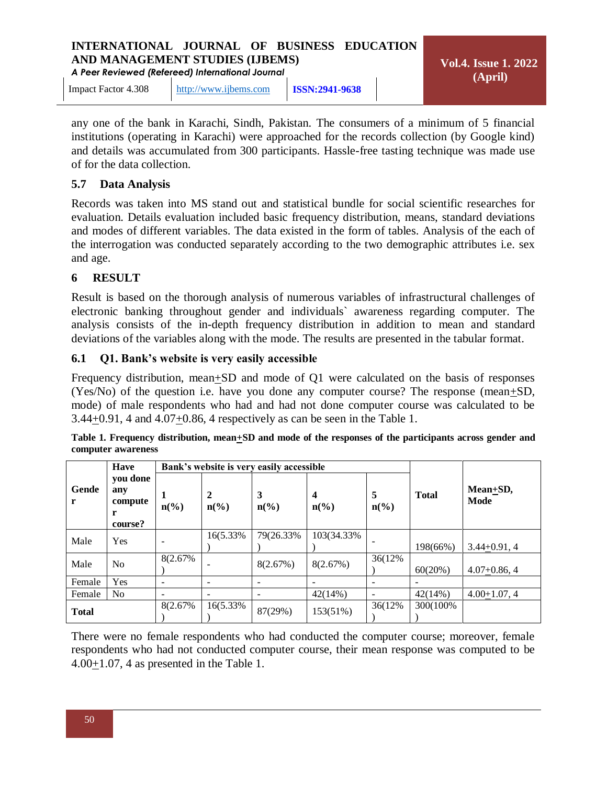*A Peer Reviewed (Refereed) International Journal*

Impact Factor 4.308 [http://www.ijbems.com](http://www.ijbems.com/) **ISSN:2941-9638**

any one of the bank in Karachi, Sindh, Pakistan. The consumers of a minimum of 5 financial institutions (operating in Karachi) were approached for the records collection (by Google kind) and details was accumulated from 300 participants. Hassle-free tasting technique was made use of for the data collection.

#### **5.7 Data Analysis**

Records was taken into MS stand out and statistical bundle for social scientific researches for evaluation. Details evaluation included basic frequency distribution, means, standard deviations and modes of different variables. The data existed in the form of tables. Analysis of the each of the interrogation was conducted separately according to the two demographic attributes i.e. sex and age.

#### **6 RESULT**

Result is based on the thorough analysis of numerous variables of infrastructural challenges of electronic banking throughout gender and individuals` awareness regarding computer. The analysis consists of the in-depth frequency distribution in addition to mean and standard deviations of the variables along with the mode. The results are presented in the tabular format.

#### **6.1 Q1. Bank's website is very easily accessible**

Frequency distribution, mean+SD and mode of Q1 were calculated on the basis of responses (Yes/No) of the question i.e. have you done any computer course? The response (mean+SD, mode) of male respondents who had and had not done computer course was calculated to be 3.44+0.91, 4 and 4.07+0.86, 4 respectively as can be seen in the Table 1.

|              | <b>Have</b>                                |                             |                                  | Bank's website is very easily accessible |                                                        |                                  |              |                  |
|--------------|--------------------------------------------|-----------------------------|----------------------------------|------------------------------------------|--------------------------------------------------------|----------------------------------|--------------|------------------|
| Gende<br>r   | you done<br>any<br>compute<br>r<br>course? | $n\left(\frac{6}{6}\right)$ | 2<br>$n\left(\frac{6}{6}\right)$ | 3<br>$n\left(\frac{6}{6}\right)$         | $\overline{\mathbf{4}}$<br>$n\left(\frac{6}{6}\right)$ | 5<br>$n\left(\frac{0}{0}\right)$ | <b>Total</b> | Mean+SD,<br>Mode |
| Male         | Yes                                        |                             | 16(5.33%)                        | 79(26.33%)                               | 103(34.33%)                                            | $\overline{\phantom{0}}$         | 198(66%)     | $3.44 + 0.91, 4$ |
| Male         | N <sub>o</sub>                             | 8(2.67%)                    |                                  | 8(2.67%)                                 | 8(2.67%)                                               | 36(12%)                          | 60(20%)      | $4.07+0.86, 4$   |
| Female       | Yes                                        |                             | -                                | -                                        |                                                        |                                  |              |                  |
| Female       | N <sub>0</sub>                             |                             | $\overline{\phantom{a}}$         | $\overline{\phantom{m}}$                 | 42(14%)                                                | $\overline{\phantom{a}}$         | 42(14%)      | $4.00+1.07, 4$   |
| <b>Total</b> |                                            | 8(2.67%)                    | 16(5.33%)                        | 87(29%)                                  | 153(51%)                                               | 36(12%)                          | 300(100%)    |                  |

| Table 1. Frequency distribution, mean+SD and mode of the responses of the participants across gender and |  |  |  |
|----------------------------------------------------------------------------------------------------------|--|--|--|
| computer awareness                                                                                       |  |  |  |

There were no female respondents who had conducted the computer course; moreover, female respondents who had not conducted computer course, their mean response was computed to be 4.00+1.07, 4 as presented in the Table 1.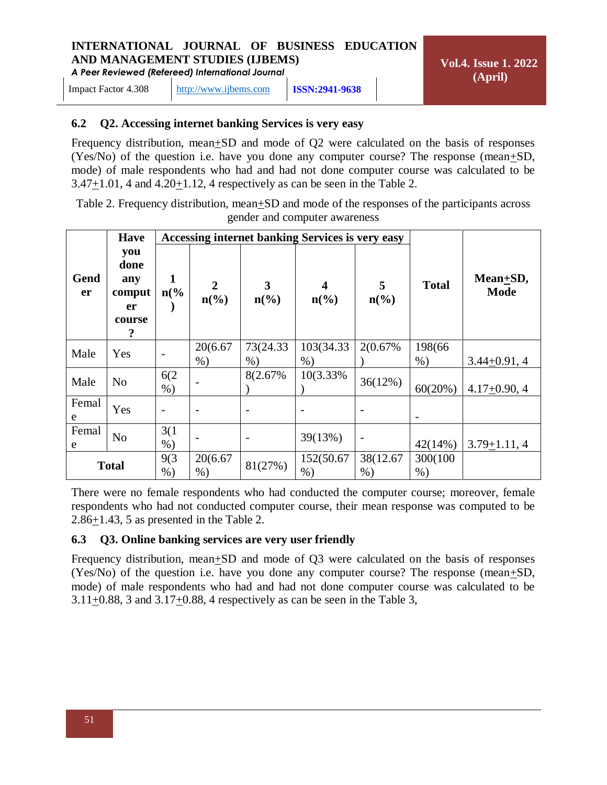*A Peer Reviewed (Refereed) International Journal*

Impact Factor 4.308 [http://www.ijbems.com](http://www.ijbems.com/) **ISSN:2941-9638**

#### **6.2 Q2. Accessing internet banking Services is very easy**

Frequency distribution, mean+SD and mode of Q2 were calculated on the basis of responses (Yes/No) of the question i.e. have you done any computer course? The response (mean $\pm SD$ , mode) of male respondents who had and had not done computer course was calculated to be  $3.47\pm1.01$ , 4 and  $4.20\pm1.12$ , 4 respectively as can be seen in the Table 2.

Table 2. Frequency distribution, mean+SD and mode of the responses of the participants across gender and computer awareness

|              | <b>Have</b>                                       |                     |                                   |                      | <b>Accessing internet banking Services is very easy</b> |                                  |                   |                              |
|--------------|---------------------------------------------------|---------------------|-----------------------------------|----------------------|---------------------------------------------------------|----------------------------------|-------------------|------------------------------|
| Gend<br>er   | you<br>done<br>any<br>comput<br>er<br>course<br>? | 1<br>$n\frac{6}{6}$ | $\overline{2}$<br>$n\binom{0}{0}$ | 3<br>$n\binom{0}{0}$ | 4<br>$n\left(\frac{0}{0}\right)$                        | 5<br>$n\left(\frac{0}{0}\right)$ | <b>Total</b>      | $Mean + SD$ ,<br><b>Mode</b> |
| Male         | Yes                                               | $\overline{a}$      | 20(6.67<br>$%$ )                  | 73(24.33)<br>$%$ )   | 103(34.33)<br>$%$ )                                     | 2(0.67%)                         | 198(66)<br>$%$ )  | $3.44 + 0.91, 4$             |
| Male         | N <sub>o</sub>                                    | 6(2)<br>$%$ )       |                                   | 8(2.67%)             | 10(3.33%)                                               | 36(12%)                          | 60(20%)           | $4.17+0.90, 4$               |
| Femal<br>e   | Yes                                               |                     |                                   |                      |                                                         |                                  |                   |                              |
| Femal<br>e   | No                                                | 3(1)<br>$%$ )       |                                   |                      | 39(13%)                                                 | $\qquad \qquad$                  | 42(14%)           | $3.79 + 1.11, 4$             |
| <b>Total</b> |                                                   | 9(3)<br>$%$ )       | 20(6.67<br>$%$ )                  | 81(27%)              | 152(50.67<br>$%$ )                                      | 38(12.67)<br>$%$ )               | 300(100)<br>$%$ ) |                              |

There were no female respondents who had conducted the computer course; moreover, female respondents who had not conducted computer course, their mean response was computed to be 2.86+1.43, 5 as presented in the Table 2.

#### **6.3 Q3. Online banking services are very user friendly**

Frequency distribution, mean+SD and mode of Q3 were calculated on the basis of responses (Yes/No) of the question i.e. have you done any computer course? The response (mean+SD, mode) of male respondents who had and had not done computer course was calculated to be 3.11+0.88, 3 and 3.17+0.88, 4 respectively as can be seen in the Table 3,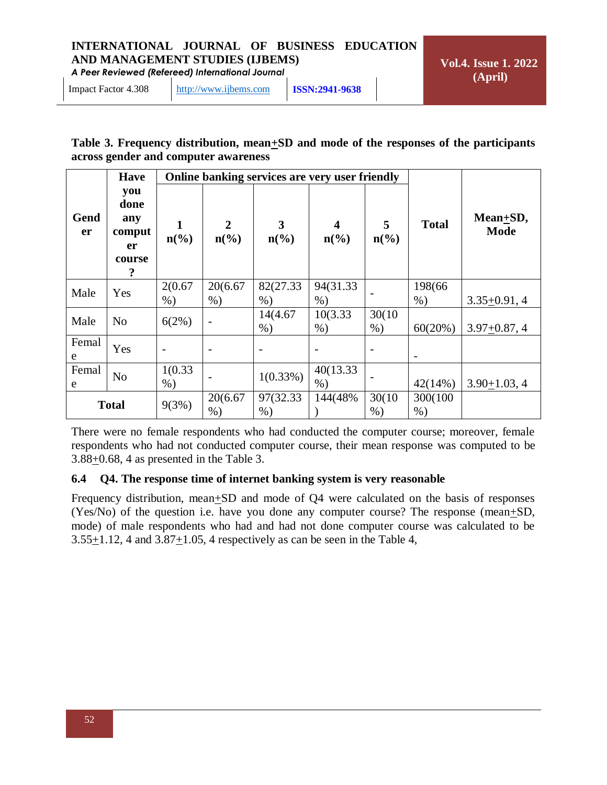*A Peer Reviewed (Refereed) International Journal*

| Table 3. Frequency distribution, mean+SD and mode of the responses of the participants |  |  |
|----------------------------------------------------------------------------------------|--|--|
| across gender and computer awareness                                                   |  |  |

|              | <b>Have</b>                                       |                             |                                   | Online banking services are very user friendly |                                            |                      |                   |                                |
|--------------|---------------------------------------------------|-----------------------------|-----------------------------------|------------------------------------------------|--------------------------------------------|----------------------|-------------------|--------------------------------|
| Gend<br>er   | you<br>done<br>any<br>comput<br>er<br>course<br>? | $n\left(\frac{0}{0}\right)$ | $\overline{2}$<br>$n\binom{0}{0}$ | $\mathbf{3}$<br>$n\left(\frac{0}{0}\right)$    | $\overline{\mathbf{4}}$<br>$n\binom{0}{0}$ | 5<br>$n\binom{0}{0}$ | <b>Total</b>      | Mean $\pm SD$ ,<br><b>Mode</b> |
| Male         | Yes                                               | 2(0.67)<br>$%$ )            | 20(6.67<br>$%$ )                  | 82(27.33)<br>$%$ )                             | 94(31.33)<br>$%$ )                         |                      | 198(66)<br>$%$ )  | $3.35+0.91, 4$                 |
| Male         | N <sub>o</sub>                                    | 6(2%)                       | $\qquad \qquad \blacksquare$      | 14(4.67)<br>$\%$ )                             | 10(3.33)<br>$%$ )                          | 30(10)<br>$%$ )      | 60(20%)           | $3.97 + 0.87, 4$               |
| Femal<br>e   | Yes                                               |                             |                                   |                                                |                                            |                      |                   |                                |
| Femal<br>e   | N <sub>o</sub>                                    | 1(0.33)<br>$%$ )            |                                   | $1(0.33\%)$                                    | 40(13.33)<br>$%$ )                         |                      | $42(14\%)$        | $3.90 + 1.03, 4$               |
| <b>Total</b> |                                                   | 9(3%)                       | 20(6.67)<br>$%$ )                 | 97(32.33)<br>$%$ )                             | 144(48%)                                   | 30(10)<br>$%$ )      | 300(100)<br>$%$ ) |                                |

There were no female respondents who had conducted the computer course; moreover, female respondents who had not conducted computer course, their mean response was computed to be 3.88+0.68, 4 as presented in the Table 3.

#### **6.4 Q4. The response time of internet banking system is very reasonable**

Frequency distribution, mean $\pm$ SD and mode of Q4 were calculated on the basis of responses (Yes/No) of the question i.e. have you done any computer course? The response (mean $\pm SD$ , mode) of male respondents who had and had not done computer course was calculated to be  $3.55\pm1.12$ , 4 and  $3.87\pm1.05$ , 4 respectively as can be seen in the Table 4,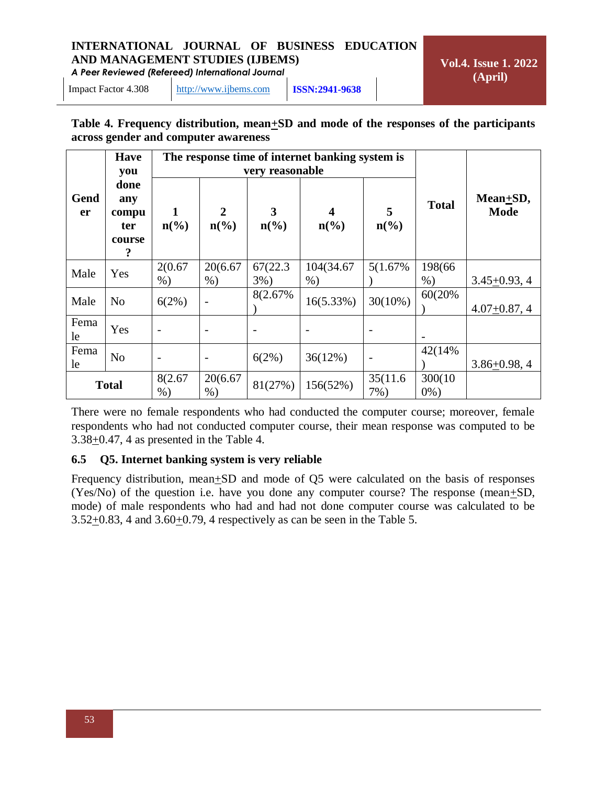*A Peer Reviewed (Refereed) International Journal*

**Vol.4. Issue 1. 2022 (April)**

Impact Factor 4.308 [http://www.ijbems.com](http://www.ijbems.com/) **ISSN:2941-9638**

#### **Table 4. Frequency distribution, mean+SD and mode of the responses of the participants across gender and computer awareness**

|                   | <b>Have</b><br>you                         |                             |                                   | very reasonable                  | The response time of internet banking system is |                      |                    |                              |
|-------------------|--------------------------------------------|-----------------------------|-----------------------------------|----------------------------------|-------------------------------------------------|----------------------|--------------------|------------------------------|
| Gend<br><b>er</b> | done<br>any<br>compu<br>ter<br>course<br>? | $n\left(\frac{0}{0}\right)$ | $\overline{2}$<br>$n\binom{0}{0}$ | 3<br>$n\left(\frac{0}{0}\right)$ | $n\left(\frac{0}{0}\right)$                     | 5<br>$n\binom{0}{0}$ | <b>Total</b>       | $Mean + SD$ ,<br><b>Mode</b> |
| Male              | Yes                                        | 2(0.67)<br>$%$ )            | 20(6.67<br>$%$ )                  | 67(22.3)<br>$3\%)$               | 104(34.67<br>$%$ )                              | 5(1.67%)             | 198(66)<br>$%$ )   | $3.45 + 0.93, 4$             |
| Male              | N <sub>o</sub>                             | 6(2%)                       |                                   | 8(2.67%)                         | 16(5.33%)                                       | $30(10\%)$           | 60(20%)            | $4.07 + 0.87, 4$             |
| Fema<br>le        | Yes                                        | $\overline{a}$              |                                   |                                  |                                                 |                      |                    |                              |
| Fema<br>le        | N <sub>o</sub>                             | $\qquad \qquad$             |                                   | 6(2%)                            | 36(12%)                                         |                      | 42(14%)            | $3.86 + 0.98, 4$             |
| <b>Total</b>      |                                            | 8(2.67)<br>$%$ )            | 20(6.67<br>$%$ )                  | 81(27%)                          | 156(52%)                                        | 35(11.6)<br>7%)      | 300(10)<br>$0\%$ ) |                              |

There were no female respondents who had conducted the computer course; moreover, female respondents who had not conducted computer course, their mean response was computed to be  $3.38\pm0.47$ , 4 as presented in the Table 4.

#### **6.5 Q5. Internet banking system is very reliable**

Frequency distribution, mean $\pm SD$  and mode of Q5 were calculated on the basis of responses (Yes/No) of the question i.e. have you done any computer course? The response (mean $\pm SD$ , mode) of male respondents who had and had not done computer course was calculated to be 3.52+0.83, 4 and 3.60+0.79, 4 respectively as can be seen in the Table 5.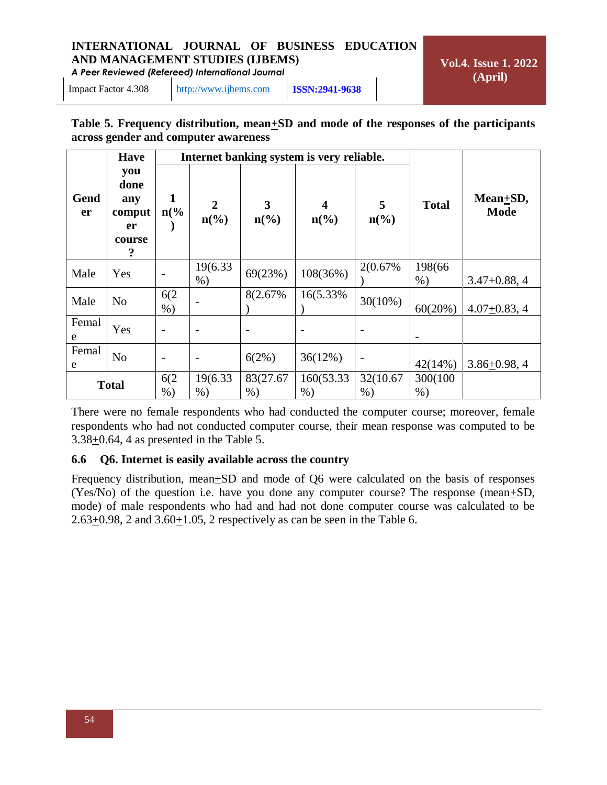*A Peer Reviewed (Refereed) International Journal*

**Vol.4. Issue 1. 2022 (April)**

Impact Factor 4.308 [http://www.ijbems.com](http://www.ijbems.com/) **ISSN:2941-9638**

#### **Table 5. Frequency distribution, mean+SD and mode of the responses of the participants across gender and computer awareness**

|              | <b>Have</b>                                       |                     |                                               |                                 | Internet banking system is very reliable.              |                                  |                   |                              |
|--------------|---------------------------------------------------|---------------------|-----------------------------------------------|---------------------------------|--------------------------------------------------------|----------------------------------|-------------------|------------------------------|
| Gend<br>er   | you<br>done<br>any<br>comput<br>er<br>course<br>? | 1<br>$n\frac{6}{6}$ | $\overline{2}$<br>$n\left(\frac{6}{6}\right)$ | $\mathbf{3}$<br>$n\binom{0}{0}$ | $\overline{\mathbf{4}}$<br>$n\left(\frac{0}{0}\right)$ | 5<br>$n\left(\frac{0}{0}\right)$ | <b>Total</b>      | $Mean + SD$ ,<br><b>Mode</b> |
| Male         | Yes                                               |                     | 19(6.33)<br>$%$ )                             | 69(23%)                         | 108(36%)                                               | 2(0.67%)                         | 198(66)<br>$%$ )  | $3.47 + 0.88, 4$             |
| Male         | N <sub>o</sub>                                    | 6(2)<br>$%$ )       |                                               | 8(2.67%)                        | 16(5.33%)                                              | $30(10\%)$                       | 60(20%)           | $4.07 + 0.83, 4$             |
| Femal<br>e   | Yes                                               |                     |                                               |                                 |                                                        |                                  |                   |                              |
| Femal<br>e   | N <sub>o</sub>                                    |                     | $\overline{\phantom{a}}$                      | 6(2%)                           | 36(12%)                                                |                                  | 42(14%)           | $3.86 + 0.98, 4$             |
| <b>Total</b> |                                                   | 6(2)<br>$%$ )       | 19(6.33)<br>$%$ )                             | 83(27.67<br>$%$ )               | 160(53.33)<br>$%$ )                                    | 32(10.67)<br>$%$ )               | 300(100)<br>$%$ ) |                              |

There were no female respondents who had conducted the computer course; moreover, female respondents who had not conducted computer course, their mean response was computed to be  $3.38\pm0.64$ , 4 as presented in the Table 5.

#### **6.6 Q6. Internet is easily available across the country**

Frequency distribution, mean $\pm SD$  and mode of Q6 were calculated on the basis of responses (Yes/No) of the question i.e. have you done any computer course? The response (mean $\pm SD$ , mode) of male respondents who had and had not done computer course was calculated to be 2.63+0.98, 2 and 3.60+1.05, 2 respectively as can be seen in the Table 6.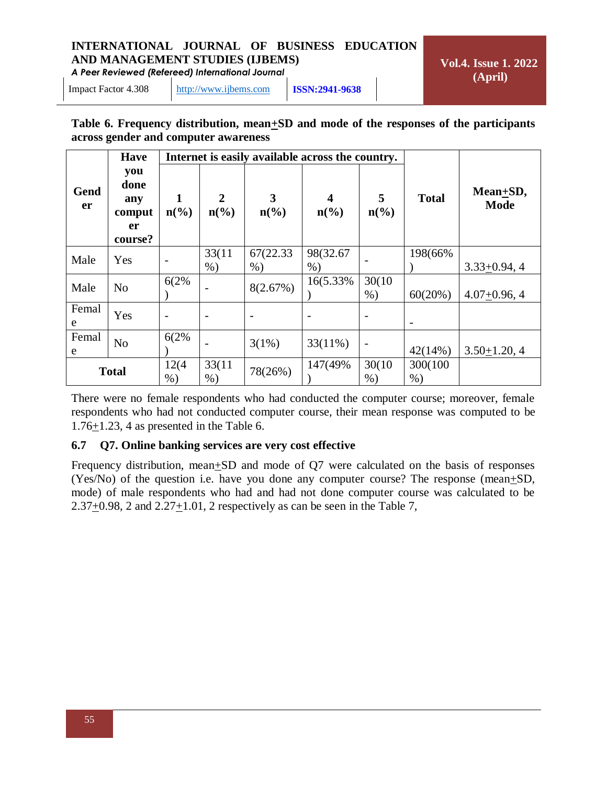*A Peer Reviewed (Refereed) International Journal*

**Vol.4. Issue 1. 2022 (April)**

Impact Factor 4.308 [http://www.ijbems.com](http://www.ijbems.com/) **ISSN:2941-9638**

#### **Table 6. Frequency distribution, mean+SD and mode of the responses of the participants across gender and computer awareness**

|              | <b>Have</b>                                   |                             |                                                 |                                  | Internet is easily available across the country. |                                  |                   |                              |
|--------------|-----------------------------------------------|-----------------------------|-------------------------------------------------|----------------------------------|--------------------------------------------------|----------------------------------|-------------------|------------------------------|
| Gend<br>er   | you<br>done<br>any<br>comput<br>er<br>course? | $n\left(\frac{0}{0}\right)$ | $\boldsymbol{2}$<br>$n\left(\frac{6}{6}\right)$ | 3<br>$n\left(\frac{6}{6}\right)$ | $\boldsymbol{4}$<br>$n\left(\frac{0}{0}\right)$  | 5<br>$n\left(\frac{0}{0}\right)$ | <b>Total</b>      | $Mean + SD$ ,<br><b>Mode</b> |
| Male         | Yes                                           |                             | 33(11)<br>$%$ )                                 | 67(22.33)<br>$%$ )               | 98(32.67<br>$%$ )                                |                                  | 198(66%           | $3.33+0.94, 4$               |
| Male         | N <sub>0</sub>                                | 6(2%                        |                                                 | 8(2.67%)                         | 16(5.33%)                                        | 30(10)<br>$%$ )                  | 60(20%)           | $4.07+0.96, 4$               |
| Femal<br>e   | Yes                                           | $\qquad \qquad -$           |                                                 |                                  |                                                  | $\overline{a}$                   |                   |                              |
| Femal<br>e   | N <sub>o</sub>                                | 6(2%                        |                                                 | $3(1\%)$                         | $33(11\%)$                                       | $\overline{\phantom{0}}$         | 42(14%)           | $3.50 + 1.20, 4$             |
| <b>Total</b> |                                               | 12(4)<br>$%$ )              | 33(11<br>$\%$ )                                 | 78(26%)                          | 147(49%)                                         | 30(10)<br>$%$ )                  | 300(100)<br>$%$ ) |                              |

There were no female respondents who had conducted the computer course; moreover, female respondents who had not conducted computer course, their mean response was computed to be  $1.76 \pm 1.23$ , 4 as presented in the Table 6.

#### **6.7 Q7. Online banking services are very cost effective**

Frequency distribution, mean+SD and mode of Q7 were calculated on the basis of responses (Yes/No) of the question i.e. have you done any computer course? The response (mean $\pm SD$ , mode) of male respondents who had and had not done computer course was calculated to be 2.37 $\pm$ 0.98, 2 and 2.27 $\pm$ 1.01, 2 respectively as can be seen in the Table 7,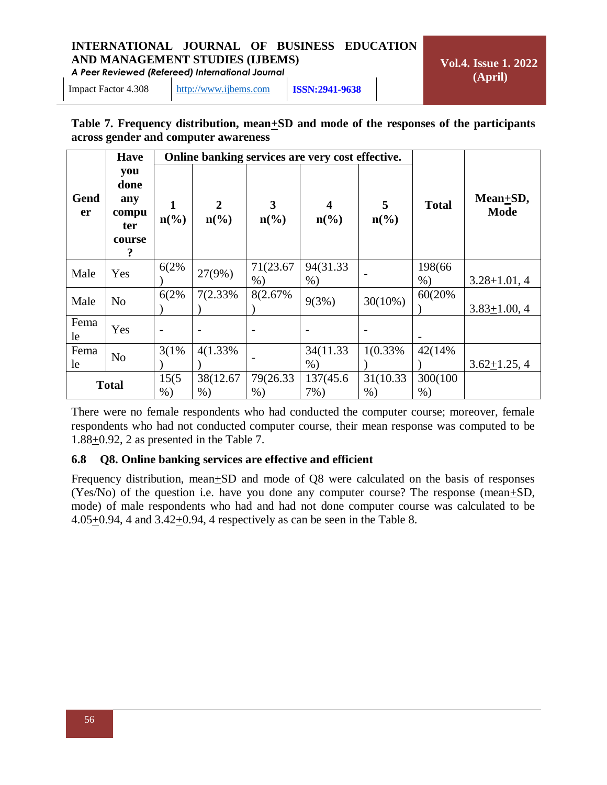*A Peer Reviewed (Refereed) International Journal*

**Vol.4. Issue 1. 2022 (April)**

Impact Factor 4.308 [http://www.ijbems.com](http://www.ijbems.com/) **ISSN:2941-9638**

#### **Table 7. Frequency distribution, mean+SD and mode of the responses of the participants across gender and computer awareness**

|                   | <b>Have</b>                                       |                             |                                 |                                  | Online banking services are very cost effective. |                                  |                   |                              |
|-------------------|---------------------------------------------------|-----------------------------|---------------------------------|----------------------------------|--------------------------------------------------|----------------------------------|-------------------|------------------------------|
| Gend<br><b>er</b> | you<br>done<br>any<br>compu<br>ter<br>course<br>? | $n\left(\frac{0}{0}\right)$ | $\mathbf{2}$<br>$n\binom{0}{0}$ | 3<br>$n\left(\frac{6}{6}\right)$ | $n\left(\frac{0}{0}\right)$                      | 5<br>$n\left(\frac{0}{0}\right)$ | <b>Total</b>      | $Mean + SD$ ,<br><b>Mode</b> |
| Male              | Yes                                               | 6(2%                        | 27(9%)                          | 71(23.67<br>$%$ )                | 94(31.33)<br>$%$ )                               |                                  | 198(66)<br>$\%$ ) | $3.28 + 1.01, 4$             |
| Male              | N <sub>o</sub>                                    | 6(2%                        | 7(2.33%)                        | 8(2.67%)                         | 9(3%)                                            | $30(10\%)$                       | 60(20%)           | $3.83 \pm 1.00, 4$           |
| Fema<br>le        | Yes                                               |                             |                                 |                                  |                                                  |                                  |                   |                              |
| Fema<br>le        | N <sub>o</sub>                                    | 3(1%                        | 4(1.33%)                        |                                  | 34(11.33)<br>$%$ )                               | 1(0.33%                          | 42(14%)           | $3.62 + 1.25, 4$             |
|                   | <b>Total</b>                                      | 15(5)<br>$%$ )              | 38(12.67)<br>$%$ )              | 79(26.33)<br>$%$ )               | 137(45.6)<br>$7\%$ )                             | 31(10.33)<br>$%$ )               | 300(100)<br>$%$ ) |                              |

There were no female respondents who had conducted the computer course; moreover, female respondents who had not conducted computer course, their mean response was computed to be  $1.88 \pm 0.92$ , 2 as presented in the Table 7.

#### **6.8 Q8. Online banking services are effective and efficient**

Frequency distribution, mean $\pm SD$  and mode of Q8 were calculated on the basis of responses (Yes/No) of the question i.e. have you done any computer course? The response (mean $\pm SD$ , mode) of male respondents who had and had not done computer course was calculated to be 4.05+0.94, 4 and 3.42+0.94, 4 respectively as can be seen in the Table 8.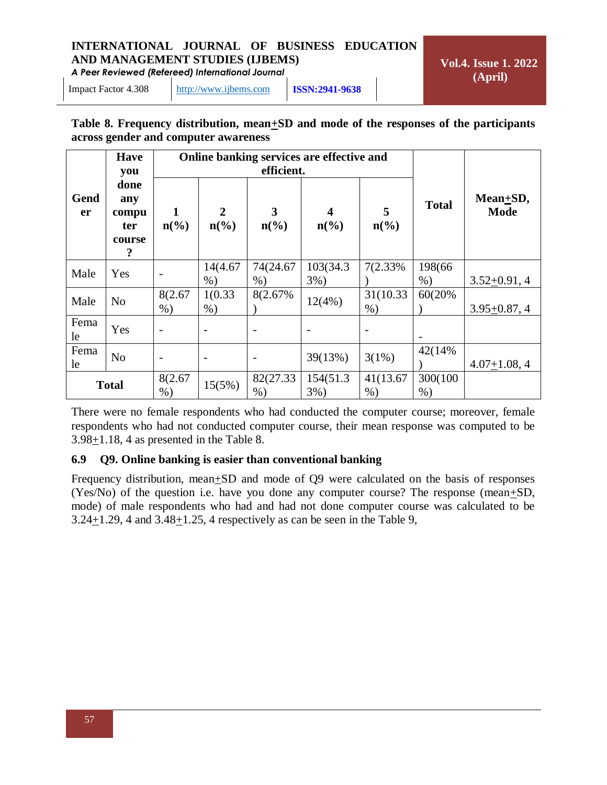*A Peer Reviewed (Refereed) International Journal*

**Vol.4. Issue 1. 2022 (April)**

Impact Factor 4.308 [http://www.ijbems.com](http://www.ijbems.com/) **ISSN:2941-9638**

#### **Table 8. Frequency distribution, mean+SD and mode of the responses of the participants across gender and computer awareness**

|                   | <b>Have</b><br>you                         |                             | Online banking services are effective and     |                                  |                                  |                      |                    |                              |
|-------------------|--------------------------------------------|-----------------------------|-----------------------------------------------|----------------------------------|----------------------------------|----------------------|--------------------|------------------------------|
| Gend<br><b>er</b> | done<br>any<br>compu<br>ter<br>course<br>? | $n\left(\frac{0}{0}\right)$ | $\overline{2}$<br>$n\left(\frac{0}{0}\right)$ | 3<br>$n\left(\frac{0}{0}\right)$ | 4<br>$n\left(\frac{0}{0}\right)$ | 5<br>$n\binom{0}{0}$ | <b>Total</b>       | $Mean + SD$ ,<br><b>Mode</b> |
| Male              | Yes                                        |                             | 14(4.67<br>$%$ )                              | 74(24.67<br>$%$ )                | 103(34.3)<br>$3\%)$              | 7(2.33%)             | 198(66)<br>$\%$ )  | $3.52 + 0.91, 4$             |
| Male              | N <sub>o</sub>                             | 8(2.67<br>$%$ )             | 1(0.33)<br>$%$ )                              | 8(2.67%)                         | 12(4%)                           | 31(10.33)<br>$%$ )   | 60(20%)            | $3.95 \pm 0.87, 4$           |
| Fema<br>le        | Yes                                        |                             |                                               |                                  |                                  |                      |                    |                              |
| Fema<br>le        | N <sub>o</sub>                             |                             |                                               |                                  | 39(13%)                          | $3(1\%)$             | 42(14%)            | $4.07 \pm 1.08, 4$           |
| <b>Total</b>      |                                            | 8(2.67<br>$%$ )             | 15(5%)                                        | 82(27.33)<br>$%$ )               | 154(51.3)<br>$3\%$ )             | 41(13.67)<br>$%$ )   | 300(100)<br>$\%$ ) |                              |

There were no female respondents who had conducted the computer course; moreover, female respondents who had not conducted computer course, their mean response was computed to be  $3.98 \pm 1.18$ , 4 as presented in the Table 8.

#### **6.9 Q9. Online banking is easier than conventional banking**

Frequency distribution, mean $\pm$ SD and mode of Q9 were calculated on the basis of responses (Yes/No) of the question i.e. have you done any computer course? The response (mean $\pm SD$ , mode) of male respondents who had and had not done computer course was calculated to be 3.24+1.29, 4 and 3.48+1.25, 4 respectively as can be seen in the Table 9,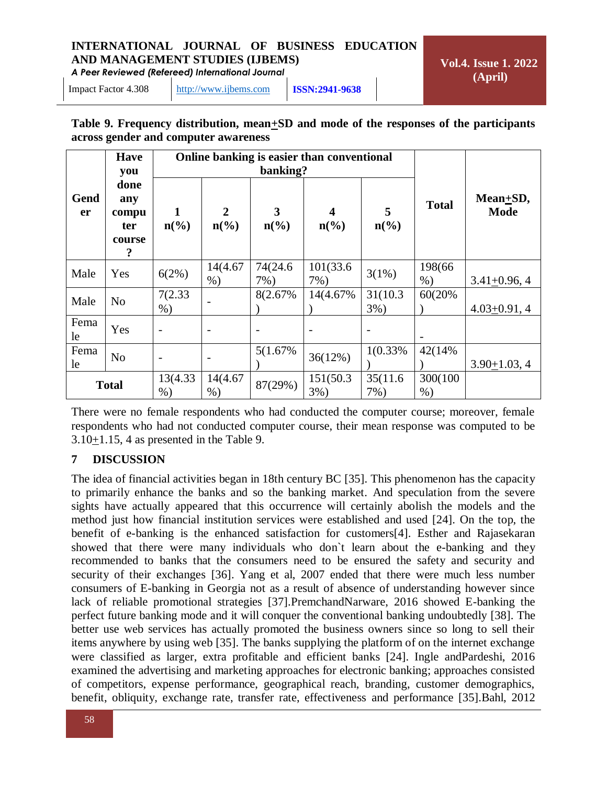*A Peer Reviewed (Refereed) International Journal*

**Vol.4. Issue 1. 2022 (April)**

Impact Factor 4.308 [http://www.ijbems.com](http://www.ijbems.com/) **ISSN:2941-9638**

#### **Table 9. Frequency distribution, mean+SD and mode of the responses of the participants across gender and computer awareness**

|                   | <b>Have</b><br>you                    |                          | Online banking is easier than conventional  |                                  |                                                        |                      |                   |                             |
|-------------------|---------------------------------------|--------------------------|---------------------------------------------|----------------------------------|--------------------------------------------------------|----------------------|-------------------|-----------------------------|
| Gend<br><b>er</b> | done<br>any<br>compu<br>ter<br>course | 1<br>$n\binom{0}{0}$     | $\mathbf{2}$<br>$n\left(\frac{0}{0}\right)$ | 3<br>$n\left(\frac{0}{0}\right)$ | $\overline{\mathbf{4}}$<br>$n\left(\frac{0}{0}\right)$ | 5<br>$n\binom{0}{0}$ | <b>Total</b>      | Mean $+SD$ ,<br><b>Mode</b> |
| Male              | Yes                                   | 6(2%)                    | 14(4.67<br>$%$ )                            | 74(24.6)<br>7%)                  | 101(33.6)<br>$7\%$ )                                   | 3(1%)                | 198(66)<br>$%$ )  | $3.41 + 0.96, 4$            |
| Male              | N <sub>o</sub>                        | 7(2.33)<br>$%$ )         |                                             | 8(2.67%)                         | 14(4.67%)                                              | 31(10.3)<br>$3%$ )   | 60(20%)           | $4.03 + 0.91, 4$            |
| Fema<br>le        | Yes                                   |                          | $\overline{\phantom{0}}$                    |                                  |                                                        |                      |                   |                             |
| Fema<br>le        | N <sub>o</sub>                        | $\overline{\phantom{0}}$ | $\overline{\phantom{m}}$                    | 5(1.67%)                         | 36(12%)                                                | 1(0.33%              | 42(14%)           | $3.90 + 1.03, 4$            |
| <b>Total</b>      |                                       | 13(4.33)<br>$%$ )        | 14(4.67)<br>$%$ )                           | 87(29%)                          | 151(50.3)<br>$3%$ )                                    | 35(11.6)<br>$7\%$ )  | 300(100)<br>$%$ ) |                             |

There were no female respondents who had conducted the computer course; moreover, female respondents who had not conducted computer course, their mean response was computed to be 3.10+1.15, 4 as presented in the Table 9.

#### **7 DISCUSSION**

The idea of financial activities began in 18th century BC [35]. This phenomenon has the capacity to primarily enhance the banks and so the banking market. And speculation from the severe sights have actually appeared that this occurrence will certainly abolish the models and the method just how financial institution services were established and used [24]. On the top, the benefit of e-banking is the enhanced satisfaction for customers[4]. Esther and Rajasekaran showed that there were many individuals who don`t learn about the e-banking and they recommended to banks that the consumers need to be ensured the safety and security and security of their exchanges [36]. Yang et al, 2007 ended that there were much less number consumers of E-banking in Georgia not as a result of absence of understanding however since lack of reliable promotional strategies [37].PremchandNarware, 2016 showed E-banking the perfect future banking mode and it will conquer the conventional banking undoubtedly [38]. The better use web services has actually promoted the business owners since so long to sell their items anywhere by using web [35]. The banks supplying the platform of on the internet exchange were classified as larger, extra profitable and efficient banks [24]. Ingle andPardeshi, 2016 examined the advertising and marketing approaches for electronic banking; approaches consisted of competitors, expense performance, geographical reach, branding, customer demographics, benefit, obliquity, exchange rate, transfer rate, effectiveness and performance [35].Bahl, 2012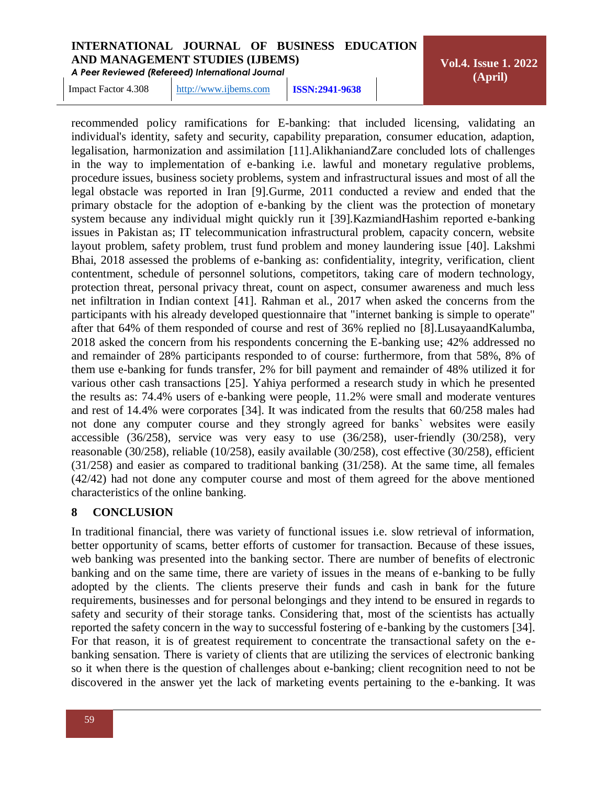*A Peer Reviewed (Refereed) International Journal*

**Vol.4. Issue 1. 2022 (April)**

Impact Factor 4.308 [http://www.ijbems.com](http://www.ijbems.com/) **ISSN:2941-9638**

recommended policy ramifications for E-banking: that included licensing, validating an individual's identity, safety and security, capability preparation, consumer education, adaption, legalisation, harmonization and assimilation [11].AlikhaniandZare concluded lots of challenges in the way to implementation of e-banking i.e. lawful and monetary regulative problems, procedure issues, business society problems, system and infrastructural issues and most of all the legal obstacle was reported in Iran [9].Gurme, 2011 conducted a review and ended that the primary obstacle for the adoption of e-banking by the client was the protection of monetary system because any individual might quickly run it [39].KazmiandHashim reported e-banking issues in Pakistan as; IT telecommunication infrastructural problem, capacity concern, website layout problem, safety problem, trust fund problem and money laundering issue [40]. Lakshmi Bhai, 2018 assessed the problems of e-banking as: confidentiality, integrity, verification, client contentment, schedule of personnel solutions, competitors, taking care of modern technology, protection threat, personal privacy threat, count on aspect, consumer awareness and much less net infiltration in Indian context [41]. Rahman et al., 2017 when asked the concerns from the participants with his already developed questionnaire that "internet banking is simple to operate" after that 64% of them responded of course and rest of 36% replied no [8].LusayaandKalumba, 2018 asked the concern from his respondents concerning the E-banking use; 42% addressed no and remainder of 28% participants responded to of course: furthermore, from that 58%, 8% of them use e-banking for funds transfer, 2% for bill payment and remainder of 48% utilized it for various other cash transactions [25]. Yahiya performed a research study in which he presented the results as: 74.4% users of e-banking were people, 11.2% were small and moderate ventures and rest of 14.4% were corporates [34]. It was indicated from the results that 60/258 males had not done any computer course and they strongly agreed for banks` websites were easily accessible (36/258), service was very easy to use (36/258), user-friendly (30/258), very reasonable (30/258), reliable (10/258), easily available (30/258), cost effective (30/258), efficient (31/258) and easier as compared to traditional banking (31/258). At the same time, all females (42/42) had not done any computer course and most of them agreed for the above mentioned characteristics of the online banking.

#### **8 CONCLUSION**

In traditional financial, there was variety of functional issues i.e. slow retrieval of information, better opportunity of scams, better efforts of customer for transaction. Because of these issues, web banking was presented into the banking sector. There are number of benefits of electronic banking and on the same time, there are variety of issues in the means of e-banking to be fully adopted by the clients. The clients preserve their funds and cash in bank for the future requirements, businesses and for personal belongings and they intend to be ensured in regards to safety and security of their storage tanks. Considering that, most of the scientists has actually reported the safety concern in the way to successful fostering of e-banking by the customers [34]. For that reason, it is of greatest requirement to concentrate the transactional safety on the ebanking sensation. There is variety of clients that are utilizing the services of electronic banking so it when there is the question of challenges about e-banking; client recognition need to not be discovered in the answer yet the lack of marketing events pertaining to the e-banking. It was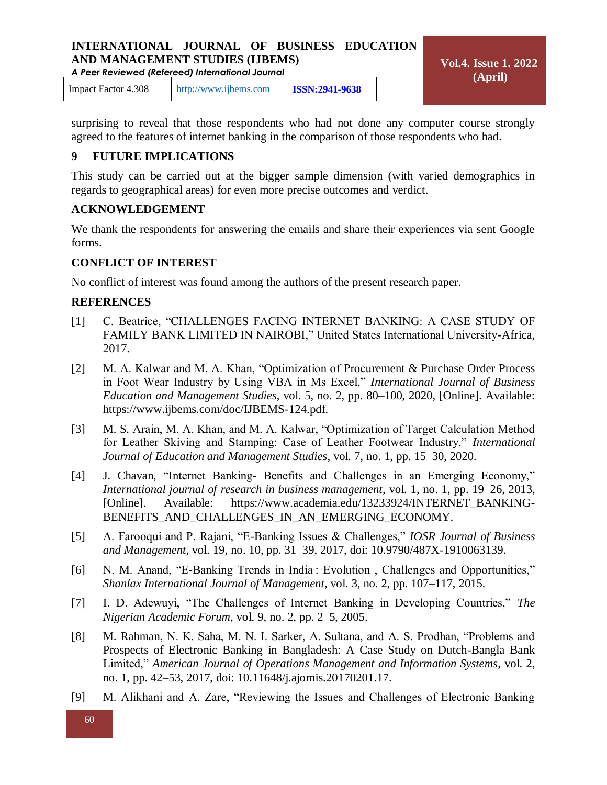*A Peer Reviewed (Refereed) International Journal*

Impact Factor 4.308 [http://www.ijbems.com](http://www.ijbems.com/) **ISSN:2941-9638**

surprising to reveal that those respondents who had not done any computer course strongly agreed to the features of internet banking in the comparison of those respondents who had.

#### **9 FUTURE IMPLICATIONS**

This study can be carried out at the bigger sample dimension (with varied demographics in regards to geographical areas) for even more precise outcomes and verdict.

#### **ACKNOWLEDGEMENT**

We thank the respondents for answering the emails and share their experiences via sent Google forms.

#### **CONFLICT OF INTEREST**

No conflict of interest was found among the authors of the present research paper.

#### **REFERENCES**

- [1] C. Beatrice, "CHALLENGES FACING INTERNET BANKING: A CASE STUDY OF FAMILY BANK LIMITED IN NAIROBI," United States International University-Africa, 2017.
- [2] M. A. Kalwar and M. A. Khan, "Optimization of Procurement & Purchase Order Process in Foot Wear Industry by Using VBA in Ms Excel," *International Journal of Business Education and Management Studies*, vol. 5, no. 2, pp. 80–100, 2020, [Online]. Available: https://www.ijbems.com/doc/IJBEMS-124.pdf.
- [3] M. S. Arain, M. A. Khan, and M. A. Kalwar, "Optimization of Target Calculation Method for Leather Skiving and Stamping: Case of Leather Footwear Industry," *International Journal of Education and Management Studies*, vol. 7, no. 1, pp. 15–30, 2020.
- [4] J. Chavan, "Internet Banking- Benefits and Challenges in an Emerging Economy," *International journal of research in business management*, vol. 1, no. 1, pp. 19–26, 2013, [Online]. Available: https://www.academia.edu/13233924/INTERNET\_BANKING-BENEFITS\_AND\_CHALLENGES\_IN\_AN\_EMERGING\_ECONOMY.
- [5] A. Farooqui and P. Rajani, "E-Banking Issues & Challenges," *IOSR Journal of Business and Management*, vol. 19, no. 10, pp. 31–39, 2017, doi: 10.9790/487X-1910063139.
- [6] N. M. Anand, "E-Banking Trends in India : Evolution , Challenges and Opportunities," *Shanlax International Journal of Management*, vol. 3, no. 2, pp. 107–117, 2015.
- [7] I. D. Adewuyi, "The Challenges of Internet Banking in Developing Countries," *The Nigerian Academic Forum*, vol. 9, no. 2, pp. 2–5, 2005.
- [8] M. Rahman, N. K. Saha, M. N. I. Sarker, A. Sultana, and A. S. Prodhan, "Problems and Prospects of Electronic Banking in Bangladesh: A Case Study on Dutch-Bangla Bank Limited," *American Journal of Operations Management and Information Systems*, vol. 2, no. 1, pp. 42–53, 2017, doi: 10.11648/j.ajomis.20170201.17.
- [9] M. Alikhani and A. Zare, "Reviewing the Issues and Challenges of Electronic Banking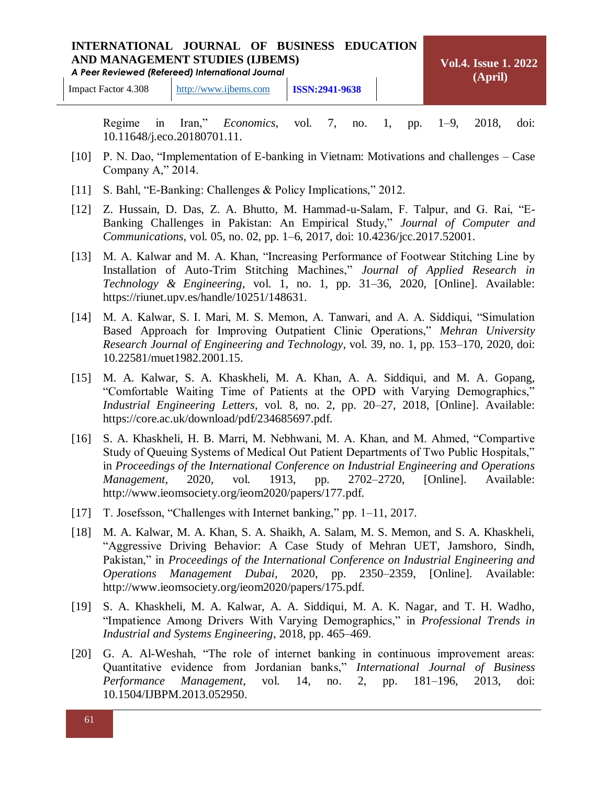#### **INTERNATIONAL JOURNAL OF BUSINESS EDUCATION AND MANAGEMENT STUDIES (IJBEMS)** *A Peer Reviewed (Refereed) International Journal* **Vol.4. Issue 1. 2022 (April)**

Regime in Iran," *Economics*, vol. 7, no. 1, pp. 1–9, 2018, doi: 10.11648/j.eco.20180701.11.

- [10] P. N. Dao, "Implementation of E-banking in Vietnam: Motivations and challenges Case Company A," 2014.
- [11] S. Bahl, "E-Banking: Challenges & Policy Implications," 2012.
- [12] Z. Hussain, D. Das, Z. A. Bhutto, M. Hammad-u-Salam, F. Talpur, and G. Rai, "E-Banking Challenges in Pakistan: An Empirical Study," *Journal of Computer and Communications*, vol. 05, no. 02, pp. 1–6, 2017, doi: 10.4236/jcc.2017.52001.
- [13] M. A. Kalwar and M. A. Khan, "Increasing Performance of Footwear Stitching Line by Installation of Auto-Trim Stitching Machines," *Journal of Applied Research in Technology & Engineering*, vol. 1, no. 1, pp. 31–36, 2020, [Online]. Available: https://riunet.upv.es/handle/10251/148631.
- [14] M. A. Kalwar, S. I. Mari, M. S. Memon, A. Tanwari, and A. A. Siddiqui, "Simulation Based Approach for Improving Outpatient Clinic Operations," *Mehran University Research Journal of Engineering and Technology*, vol. 39, no. 1, pp. 153–170, 2020, doi: 10.22581/muet1982.2001.15.
- [15] M. A. Kalwar, S. A. Khaskheli, M. A. Khan, A. A. Siddiqui, and M. A. Gopang, "Comfortable Waiting Time of Patients at the OPD with Varying Demographics," *Industrial Engineering Letters*, vol. 8, no. 2, pp. 20–27, 2018, [Online]. Available: https://core.ac.uk/download/pdf/234685697.pdf.
- [16] S. A. Khaskheli, H. B. Marri, M. Nebhwani, M. A. Khan, and M. Ahmed, "Compartive Study of Queuing Systems of Medical Out Patient Departments of Two Public Hospitals," in *Proceedings of the International Conference on Industrial Engineering and Operations Management*, 2020, vol. 1913, pp. 2702–2720, [Online]. Available: http://www.ieomsociety.org/ieom2020/papers/177.pdf.
- [17] T. Josefsson, "Challenges with Internet banking," pp. 1–11, 2017.
- [18] M. A. Kalwar, M. A. Khan, S. A. Shaikh, A. Salam, M. S. Memon, and S. A. Khaskheli, "Aggressive Driving Behavior: A Case Study of Mehran UET, Jamshoro, Sindh, Pakistan," in *Proceedings of the International Conference on Industrial Engineering and Operations Management Dubai,* 2020, pp. 2350–2359, [Online]. Available: http://www.ieomsociety.org/ieom2020/papers/175.pdf.
- [19] S. A. Khaskheli, M. A. Kalwar, A. A. Siddiqui, M. A. K. Nagar, and T. H. Wadho, "Impatience Among Drivers With Varying Demographics," in *Professional Trends in Industrial and Systems Engineering*, 2018, pp. 465–469.
- [20] G. A. Al-Weshah, "The role of internet banking in continuous improvement areas: Quantitative evidence from Jordanian banks," *International Journal of Business Performance Management*, vol. 14, no. 2, pp. 181–196, 2013, doi: 10.1504/IJBPM.2013.052950.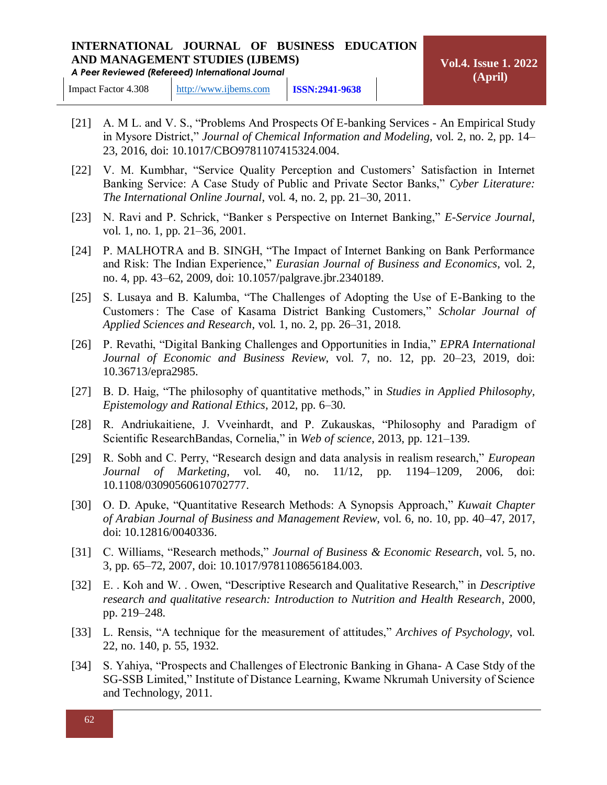Impact Factor 4.308 [http://www.ijbems.com](http://www.ijbems.com/) **ISSN:2941-9638**

- [21] A. M L. and V. S., "Problems And Prospects Of E-banking Services An Empirical Study in Mysore District," *Journal of Chemical Information and Modeling*, vol. 2, no. 2, pp. 14– 23, 2016, doi: 10.1017/CBO9781107415324.004.
- [22] V. M. Kumbhar, "Service Quality Perception and Customers' Satisfaction in Internet Banking Service: A Case Study of Public and Private Sector Banks," *Cyber Literature: The International Online Journal*, vol. 4, no. 2, pp. 21–30, 2011.
- [23] N. Ravi and P. Schrick, "Banker s Perspective on Internet Banking," *E-Service Journal*, vol. 1, no. 1, pp. 21–36, 2001.
- [24] P. MALHOTRA and B. SINGH, "The Impact of Internet Banking on Bank Performance and Risk: The Indian Experience," *Eurasian Journal of Business and Economics*, vol. 2, no. 4, pp. 43–62, 2009, doi: 10.1057/palgrave.jbr.2340189.
- [25] S. Lusaya and B. Kalumba, "The Challenges of Adopting the Use of E-Banking to the Customers : The Case of Kasama District Banking Customers," *Scholar Journal of Applied Sciences and Research*, vol. 1, no. 2, pp. 26–31, 2018.
- [26] P. Revathi, "Digital Banking Challenges and Opportunities in India," *EPRA International Journal of Economic and Business Review*, vol. 7, no. 12, pp. 20–23, 2019, doi: 10.36713/epra2985.
- [27] B. D. Haig, "The philosophy of quantitative methods," in *Studies in Applied Philosophy, Epistemology and Rational Ethics*, 2012, pp. 6–30.
- [28] R. Andriukaitiene, J. Vveinhardt, and P. Zukauskas, "Philosophy and Paradigm of Scientific ResearchBandas, Cornelia," in *Web of science*, 2013, pp. 121–139.
- [29] R. Sobh and C. Perry, "Research design and data analysis in realism research," *European Journal of Marketing*, vol. 40, no. 11/12, pp. 1194–1209, 2006, doi: 10.1108/03090560610702777.
- [30] O. D. Apuke, "Quantitative Research Methods: A Synopsis Approach," *Kuwait Chapter of Arabian Journal of Business and Management Review*, vol. 6, no. 10, pp. 40–47, 2017, doi: 10.12816/0040336.
- [31] C. Williams, "Research methods," *Journal of Business & Economic Research*, vol. 5, no. 3, pp. 65–72, 2007, doi: 10.1017/9781108656184.003.
- [32] E. . Koh and W. . Owen, "Descriptive Research and Qualitative Research," in *Descriptive research and qualitative research: Introduction to Nutrition and Health Research*, 2000, pp. 219–248.
- [33] L. Rensis, "A technique for the measurement of attitudes," *Archives of Psychology*, vol. 22, no. 140, p. 55, 1932.
- [34] S. Yahiya, "Prospects and Challenges of Electronic Banking in Ghana- A Case Stdy of the SG-SSB Limited," Institute of Distance Learning, Kwame Nkrumah University of Science and Technology, 2011.